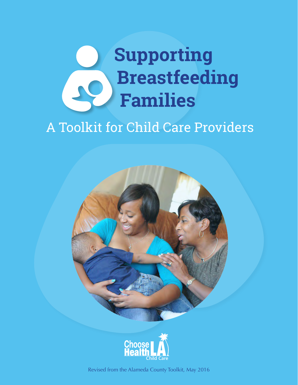# **Supporting Breastfeeding**   $\mathbf{Q}$ **Families**

# A Toolkit for Child Care Providers





Revised from the Alameda County Toolkit, May 2016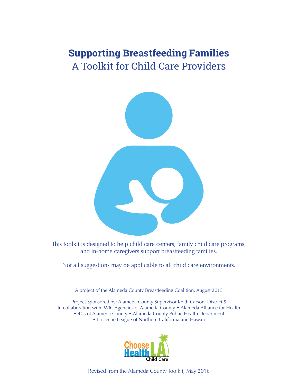# **Supporting Breastfeeding Families** A Toolkit for Child Care Providers



This toolkit is designed to help child care centers, family child care programs, and in-home caregivers support breastfeeding families.

Not all suggestions may be applicable to all child care environments.

A project of the Alameda County Breastfeeding Coalition, August 2015

Project Sponsored by: Alameda County Supervisor Keith Carson, District 5 In collaboration with: WIC Agencies of Alameda County • Alameda Alliance for Health • 4Cs of Alameda County • Alameda County Public Health Department • La Leche League of Northern California and Hawaii



Revised from the Alameda County Toolkit, May 2016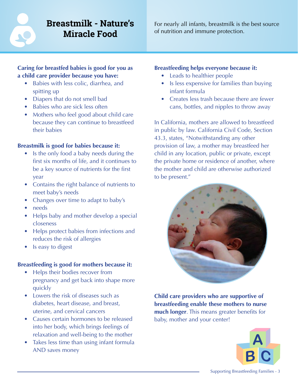# **Breastmilk - Nature's Miracle Food**

For nearly all infants, breastmilk is the best source of nutrition and immune protection.

## **Caring for breastfed babies is good for you as a child care provider because you have:**

- Babies with less colic, diarrhea, and spitting up
- Diapers that do not smell bad
- Babies who are sick less often
- Mothers who feel good about child care because they can continue to breastfeed their babies

## **Breastmilk is good for babies because it:**

- Is the only food a baby needs during the first six months of life, and it continues to be a key source of nutrients for the first year
- Contains the right balance of nutrients to meet baby's needs
- Changes over time to adapt to baby's
- needs
- Helps baby and mother develop a special closeness
- Helps protect babies from infections and reduces the risk of allergies
- Is easy to digest

## **Breastfeeding is good for mothers because it:**

- Helps their bodies recover from pregnancy and get back into shape more quickly
- Lowers the risk of diseases such as diabetes, heart disease, and breast, uterine, and cervical cancers
- Causes certain hormones to be released into her body, which brings feelings of relaxation and well-being to the mother
- Takes less time than using infant formula AND saves money **B**

## **Breastfeeding helps everyone because it:**

- Leads to healthier people
- Is less expensive for families than buying infant formula
- Creates less trash because there are fewer cans, bottles, and nipples to throw away

In California, mothers are allowed to breastfeed in public by law. California Civil Code, Section 43.3, states, "Notwithstanding any other provision of law, a mother may breastfeed her child in any location, public or private, except the private home or residence of another, where the mother and child are otherwise authorized to be present."



**Child care providers who are supportive of breastfeeding enable these mothers to nurse much longer**. This means greater benefits for baby, mother and your center!

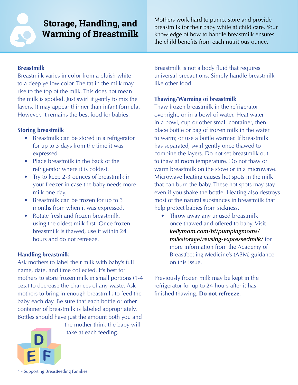**Storage, Handling, and Warming of Breastmilk**

Mothers work hard to pump, store and provide breastmilk for their baby while at child care. Your knowledge of how to handle breastmilk ensures the child benefits from each nutritious ounce.

#### **Breastmilk**

Breastmilk varies in color from a bluish white to a deep yellow color. The fat in the milk may rise to the top of the milk. This does not mean the milk is spoiled. Just swirl it gently to mix the layers. It may appear thinner than infant formula. However, it remains the best food for babies.

#### **Storing breastmilk**

- Breastmilk can be stored in a refrigerator for up to 3 days from the time it was expressed.
- Place breastmilk in the back of the refrigerator where it is coldest.
- Try to keep 2-3 ounces of breastmilk in your freezer in case the baby needs more milk one day.
- Breastmilk can be frozen for up to 3 months from when it was expressed.
- Rotate fresh and frozen breastmilk. using the oldest milk first. Once frozen breastmilk is thawed, use it within 24 hours and do not refreeze.

#### **Handling breastmilk**

Ask mothers to label their milk with baby's full name, date, and time collected. It's best for mothers to store frozen milk in small portions (1-4 ozs.) to decrease the chances of any waste. Ask mothers to bring in enough breastmilk to feed the baby each day. Be sure that each bottle or other container of breastmilk is labeled appropriately. Bottles should have just the amount both you and



the mother think the baby will take at each feeding.

Breastmilk is not a body fluid that requires universal precautions. Simply handle breastmilk like other food.

#### **Thawing/Warming of breastmilk**

Thaw frozen breastmilk in the refrigerator overnight, or in a bowl of water. Heat water in a bowl, cup or other small container, then place bottle or bag of frozen milk in the water to warm; or use a bottle warmer. If breastmilk has separated, swirl gently once thawed to combine the layers. Do not set breastmilk out to thaw at room temperature. Do not thaw or warm breastmilk on the stove or in a microwave. Microwave heating causes hot spots in the milk that can burn the baby. These hot spots may stay even if you shake the bottle. Heating also destroys most of the natural substances in breastmilk that help protect babies from sickness.

• Throw away any unused breastmilk once thawed and offered to baby. Visit *[kellymom.com/bf/pumpingmoms/](http://kellymom.com/bf/pumpingmoms/milkstorage/reusing-expressedmilk/) [milkstorage/reusing-expressedmilk/](http://kellymom.com/bf/pumpingmoms/milkstorage/reusing-expressedmilk/)* for more information from the Academy of Breastfeeding Medicine's (ABM) guidance on this issue.

Previously frozen milk may be kept in the refrigerator for up to 24 hours after it has finished thawing. **Do not refreeze**.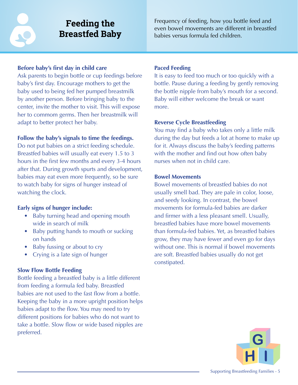**Feeding the Breastfed Baby**

#### **Before baby's first day in child care**

Ask parents to begin bottle or cup feedings before baby's first day. Encourage mothers to get the baby used to being fed her pumped breastmilk by another person. Before bringing baby to the center, invite the mother to visit. This will expose her to commom germs. Then her breastmilk will adapt to better protect her baby.

#### **Follow the baby's signals to time the feedings.**

Do not put babies on a strict feeding schedule. Breastfed babies will usually eat every 1.5 to 3 hours in the first few months and every 3-4 hours after that. During growth spurts and development, babies may eat even more frequently, so be sure to watch baby for signs of hunger instead of watching the clock.

#### **Early signs of hunger include:**

- Baby turning head and opening mouth wide in search of milk
- Baby putting hands to mouth or sucking on hands
- Baby fussing or about to cry
- Crying is a late sign of hunger

## **Slow Flow Bottle Feeding**

Bottle feeding a breastfed baby is a little different from feeding a formula fed baby. Breastfed babies are not used to the fast flow from a bottle. Keeping the baby in a more upright position helps babies adapt to the flow. You may need to try different positions for babies who do not want to take a bottle. Slow flow or wide based nipples are preferred.

### **Paced Feeding**

It is easy to feed too much or too quickly with a bottle. Pause during a feeding by gently removing the bottle nipple from baby's mouth for a second. Baby will either welcome the break or want more.

#### **Reverse Cycle Breastfeeding**

You may find a baby who takes only a little milk during the day but feeds a lot at home to make up for it. Always discuss the baby's feeding patterns with the mother and find out how often baby nurses when not in child care.

#### **Bowel Movements**

Bowel movements of breastfed babies do not usually smell bad. They are pale in color, loose, and seedy looking. In contrast, the bowel movements for formula-fed babies are darker and firmer with a less pleasant smell. Usually, breastfed babies have more bowel movements than formula-fed babies. Yet, as breastfed babies grow, they may have fewer and even go for days without one. This is normal if bowel movements are soft. Breastfed babies usually do not get constipated.

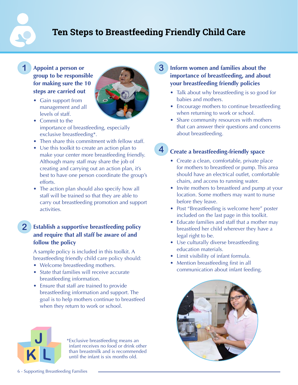# **Ten Steps to Breastfeeding Friendly Child Care**

#### **1 Appoint a person or group to be responsible for making sure the 10 steps are carried out**

- Gain support from management and all levels of staff.
- Commit to the importance of breastfeeding, especially exclusive breastfeeding\*.
- Then share this commitment with fellow staff.
- Use this toolkit to create an action plan to make your center more breastfeeding friendly. Although many staff may share the job of creating and carrying out an action plan, it's best to have one person coordinate the group's efforts.
- The action plan should also specify how all staff will be trained so that they are able to carry out breastfeeding promotion and support activities.

# **2 Establish a supportive breastfeeding policy and require that all staff be aware of and follow the policy**

A sample policy is included in this toolkit. A breastfeeding friendly child care policy should:

- Welcome breastfeeding mothers.
- State that families will receive accurate breastfeeding information.
- Ensure that staff are trained to provide breastfeeding information and support. The goal is to help mothers continue to breastfeed when they return to work or school.

# **K L**

**J** \*Exclusive breastfeeding means an infant receives no food or drink other than breastmilk and is recommended until the infant is six months old.

#### **3 Inform women and families about the importance of breastfeeding, and about your breastfeeding friendly policies**

- Talk about why breastfeeding is so good for babies and mothers.
- Encourage mothers to continue breastfeeding when returning to work or school.
- Share community resources with mothers that can answer their questions and concerns about breastfeeding.

#### **4 Create a breastfeeding-friendly space**

- Create a clean, comfortable, private place for mothers to breastfeed or pump. This area should have an electrical outlet, comfortable chairs, and access to running water.
- Invite mothers to breastfeed and pump at your location. Some mothers may want to nurse before they leave.
- Post "Breastfeeding is welcome here" poster included on the last page in this toolkit.
- Educate families and staff that a mother may breastfeed her child wherever they have a legal right to be.
- Use culturally diverse breastfeeding education materials.
- Limit visibility of infant formula.
- Mention breastfeeding first in all communication about infant feeding.



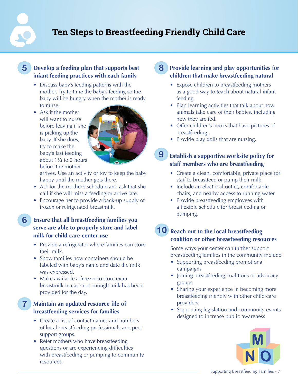# **Ten Steps to Breastfeeding Friendly Child Care**

#### **5 Develop a feeding plan that supports best infant feeding practices with each family**

- Discuss baby's feeding patterns with the mother. Try to time the baby's feeding so the baby will be hungry when the mother is ready to nurse.
- Ask if the mother will want to nurse before leaving if she is picking up the baby. If she does, try to make the baby's last feeding about 1½ to 2 hours before the mother



arrives. Use an activity or toy to keep the baby happy until the mother gets there.

- Ask for the mother's schedule and ask that she call if she will miss a feeding or arrive late.
- Encourage her to provide a back-up supply of frozen or refrigerated breastmilk.
- **6 Ensure that all breastfeeding families you serve are able to properly store and label milk for child care center use**
	- Provide a refrigerator where families can store their milk.
	- Show families how containers should be labeled with baby's name and date the milk was expressed.
	- Make available a freezer to store extra breastmilk in case not enough milk has been provided for the day.

**Maintain an updated resource file of breastfeeding services for families**

**7**

- Create a list of contact names and numbers of local breastfeeding professionals and peer support groups.
- Refer mothers who have breastfeeding questions or are experiencing difficulties with breastfeeding or pumping to community resources.

## **8 Provide learning and play opportunities for children that make breastfeeding natural**

- Expose children to breastfeeding mothers as a good way to teach about natural infant feeding.
- Plan learning activities that talk about how animals take care of their babies, including how they are fed.
- Offer children's books that have pictures of breastfeeding.
- Provide play dolls that are nursing.

#### **9 Establish a supportive worksite policy for staff members who are breastfeeding**

- Create a clean, comfortable, private place for staff to breastfeed or pump their milk.
- Include an electrical outlet, comfortable chairs, and nearby access to running water.
- Provide breastfeeding employees with a flexible schedule for breastfeeding or pumping.

# **10 Reach out to the local breastfeeding coalition or other breastfeeding resources**

Some ways your center can further support breastfeeding families in the community include:

- Supporting breastfeeding promotional campaigns
- Joining breastfeeding coalitions or advocacy groups
- Sharing your experience in becoming more breastfeeding friendly with other child care providers
- Supporting legislation and community events designed to increase public awareness

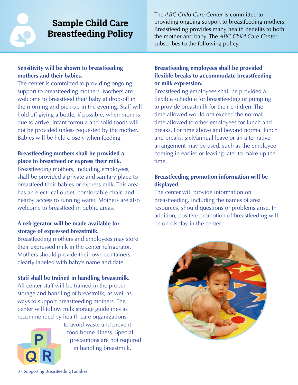# **Sample Child Care Breastfeeding Policy**

The *ABC Child Care Center* is committed to providing ongoing support to breastfeeding mothers. Breastfeeding provides many health benefits to both the mother and baby. The *ABC Child Care Center* subscribes to the following policy.

## **Sensitivity will be shown to breastfeeding mothers and their babies.**

The center is committed to providing ongoing support to breastfeeding mothers. Mothers are welcome to breastfeed their baby at drop-off in the morning and pick-up in the evening. Staff will hold off giving a bottle, if possible, when mom is due to arrive. Infant formula and solid foods will not be provided unless requested by the mother. Babies will be held closely when feeding.

# **Breastfeeding mothers shall be provided a place to breastfeed or express their milk.**

Breastfeeding mothers, including employees, shall be provided a private and sanitary place to breastfeed their babies or express milk. This area has an electrical outlet, comfortable chair, and nearby access to running water. Mothers are also welcome to breastfeed in public areas.

# **A refrigerator will be made available for storage of expressed breastmilk.**

Breastfeeding mothers and employees may store their expressed milk in the center refrigerator. Mothers should provide their own containers, clearly labeled with baby's name and date.

## **Staff shall be trained in handling breastmilk.**

All center staff will be trained in the proper storage and handling of breastmilk, as well as ways to support breastfeeding mothers. The center will follow milk storage guidelines as recommended by health care organizations



to avoid waste and prevent food borne illness. Special precautions are not required in handling breastmilk.

## **Breastfeeding employees shall be provided flexible breaks to accommodate breastfeeding or milk expression.**

Breastfeeding employees shall be provided a flexible schedule for breastfeeding or pumping to provide breastmilk for their children. The time allowed would not exceed the normal time allowed to other employees for lunch and breaks. For time above and beyond normal lunch and breaks, sick/annual leave or an alternative arrangement may be used, such as the employee coming in earlier or leaving later to make up the time.

# **Breastfeeding promotion information will be displayed.**

The center will provide information on breastfeeding, including the names of area resources, should questions or problems arise. In addition, positive promotion of breastfeeding will be on display in the center.

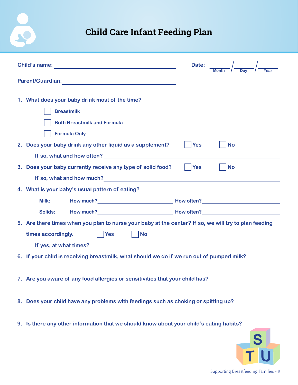# **Child Care Infant Feeding Plan**

 $\tilde{S}$ 

|                                                                                                                                                                                                                                        | Date: $\frac{1}{\frac{M \text{cm} + h}{\frac{M \text{cm}}{2}}}$ $\frac{1}{\frac{N \text{cm}}{2}}$ |         |
|----------------------------------------------------------------------------------------------------------------------------------------------------------------------------------------------------------------------------------------|---------------------------------------------------------------------------------------------------|---------|
|                                                                                                                                                                                                                                        |                                                                                                   |         |
| 1. What does your baby drink most of the time?<br><b>Breastmilk</b><br><b>Both Breastmilk and Formula</b><br><b>Formula Only</b>                                                                                                       |                                                                                                   |         |
| 2. Does your baby drink any other liquid as a supplement?                                                                                                                                                                              | <b>Yes</b><br><b>No</b>                                                                           |         |
| If so, what and how often?<br><u>If so, what and how often?</u>                                                                                                                                                                        |                                                                                                   |         |
| 3. Does your baby currently receive any type of solid food?                                                                                                                                                                            | Yes<br><b>No</b>                                                                                  |         |
| If so, what and how much?<br><u>Same and the much</u><br>Same and the much and the much and the much and the much and the much and the much and the much and the much and the much and the much and the much and the much and the much |                                                                                                   |         |
| 4. What is your baby's usual pattern of eating?                                                                                                                                                                                        |                                                                                                   |         |
| Milk:                                                                                                                                                                                                                                  |                                                                                                   |         |
| Solids:                                                                                                                                                                                                                                |                                                                                                   |         |
| 5. Are there times when you plan to nurse your baby at the center? If so, we will try to plan feeding                                                                                                                                  |                                                                                                   |         |
| times accordingly.<br>Yes<br><b>No</b>                                                                                                                                                                                                 |                                                                                                   |         |
|                                                                                                                                                                                                                                        |                                                                                                   |         |
| 6. If your child is receiving breastmilk, what should we do if we run out of pumped milk?                                                                                                                                              |                                                                                                   |         |
| 7. Are you aware of any food allergies or sensitivities that your child has?                                                                                                                                                           |                                                                                                   |         |
| 8. Does your child have any problems with feedings such as choking or spitting up?                                                                                                                                                     |                                                                                                   |         |
| 9. Is there any other information that we should know about your child's eating habits?                                                                                                                                                |                                                                                                   |         |
|                                                                                                                                                                                                                                        |                                                                                                   | $\bf S$ |

**T U**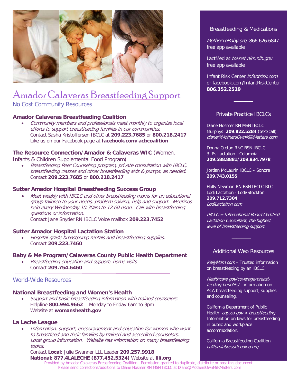

# Amador Calaveras Breastfeeding Support

### No Cost Community Resources

#### **Amador Calaveras Breastfeeding Coalition**

• Community members and professionals meet monthly to organize local efforts to support breastfeeding families in our communities. Contact Sasha Kristoffersen IBCLC at **209.223.7685** or **800.218.2417** Like us on our Facebook page at **facebook.com/acbcoalition**

# **The Resource Connection/Amador & Calaveras WIC** (Women,

Infants & Children Supplemental Food Program)

• Breastfeeding Peer Counseling program, private consultation with IBCLC, breastfeeding classes and other breastfeeding aids & pumps, as needed. Contact **209.223.7685** or **800.218.2417**

#### **Sutter Amador Hospital Breastfeeding Success Group**

• Meet weekly with IBCLC and other [breastfeed](ccala.net)ing moms for an educational group tailored to your needs, [problem-solving, help and support. Meetings](fns.usda.gov/sites/default/files/feeding_infants.pdf)  held every Wednesday 10:30am to 12:00 noon. Call with breastfeeding questions or information. Contact Jane S[nyder RN IBCL](youtube.com/watch?v=RXXpmCn57ZI&feature=player_embedded)[C Voice mailbox](youtube.com/watch?feature=player_embedded&v=IpDDxnbin7c) **209.223.7452**

#### **Sutter Amador Hospital Lactation Station**

• Hospital-grade breastpump rentals and breastfeeding supplies. Contact **209.223.7460**

#### **Baby & Me Program/Calaveras County Public Health Department**

• Breastfeeding education and support; home visits Contact **209.754.6460**

#### World-Wide Res[ources](breastfeedla.org/resource-directory/)

#### **National Breastfeeding and Women's Health**

• Support and basic brea[stfeeding information with trained c](latchmd.com/our_service.html)ounselors. Helpline **800.994.9662** Monday to Friday 6am to 3pm Website at **womanshealth.gov**

#### **La Leche League**

• Information, support, encouragement and education for women who want to breastfeed and their families by trained and accredited counselors. Local group information. Website has information on many breastfeeding topics.

Contact **Local:** Julie Swanner LLL Leader **209.257.9918 National: 877.4LALECHE (877.452.5324)** Website at **llli.org** Provided by Amador Calaveras Breastfeeding Coalition. Permission granted to duplicate, distribute or post this document. Please send corrections/additions to Diane Hosmer RN MSN IBCLC at Diane@MothersOwnMilkMatters.com

#### Breastfeeding & Medications

MotherToBaby.org 866.626.6847 free app available

LactMed at toxnet.nlm.nih.gov free app available

Infant Risk Center infantrisk.com [or facebook.com/](californiabreastfeeding.org)InfantRiskCenter **806.352.2519**

#### Private Practice IBCLCs

────

Diane Hosmer RN MSN IBCLC Murphys **209.822.5284** (text/call) diane@MothersOwnMilkMatters.com

Donna Cretan RNC BSN IBCLC 3 Ps Lactation - Columbia **209.588.8881/209.834.7978**

Jordan McLaurin IBCLC – Sonora **209.743.0155**

Holly Newman RN BSN IBCLC RLC Lodi Lactation - Lodi/Stockton **209.712.7304**  LodiLactation.com

IBCLC = International Board Certified Lactation Consultant, the highest level of breastfeeding support.

#### Additional Web Resources

──────<del>─</del>

KellyMom.com – [Trusted](breastfeedla.org/for-parents/) information on breastfeeding by an IBCLC.

Healthcare.gov/coverage/breastfeeding-benefits/ - information on ACA breastfeeding support, supplies and counseling.

California Department of Public Health cdp.ca.gov > breastfeeding Information on laws for breastfeeding in public and workplace accommodation.

California Breastfeeding Coalition californiabreastfeeding.org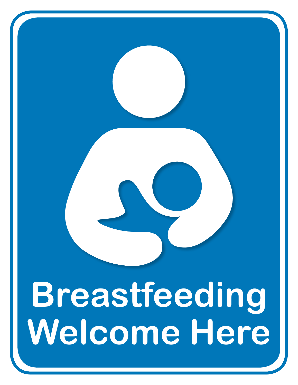# **Breastfeeding Welcome Here**